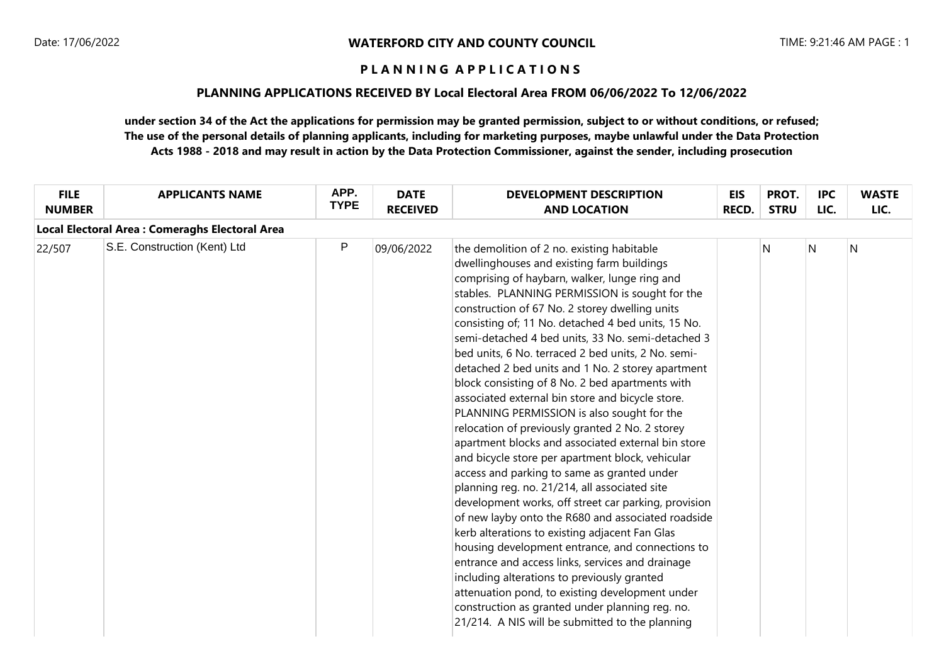### **PLANNING APPLICATIONS RECEIVED BY Local Electoral Area FROM 06/06/2022 To 12/06/2022**

| <b>FILE</b><br><b>NUMBER</b> | <b>APPLICANTS NAME</b>                          | APP.<br><b>TYPE</b> | <b>DATE</b><br><b>RECEIVED</b> | <b>DEVELOPMENT DESCRIPTION</b><br><b>AND LOCATION</b>                                                                                                                                                                                                                                                                                                                                                                                                                                                                                                                                                                                                                                                                                                                                                                                                                                                                                                                                                                                                                                                                                                                                                                                                                                                                                                                 | <b>EIS</b><br><b>RECD.</b> | PROT.<br><b>STRU</b> | <b>IPC</b><br>LIC. | <b>WASTE</b><br>LIC. |
|------------------------------|-------------------------------------------------|---------------------|--------------------------------|-----------------------------------------------------------------------------------------------------------------------------------------------------------------------------------------------------------------------------------------------------------------------------------------------------------------------------------------------------------------------------------------------------------------------------------------------------------------------------------------------------------------------------------------------------------------------------------------------------------------------------------------------------------------------------------------------------------------------------------------------------------------------------------------------------------------------------------------------------------------------------------------------------------------------------------------------------------------------------------------------------------------------------------------------------------------------------------------------------------------------------------------------------------------------------------------------------------------------------------------------------------------------------------------------------------------------------------------------------------------------|----------------------------|----------------------|--------------------|----------------------|
|                              | Local Electoral Area : Comeraghs Electoral Area |                     |                                |                                                                                                                                                                                                                                                                                                                                                                                                                                                                                                                                                                                                                                                                                                                                                                                                                                                                                                                                                                                                                                                                                                                                                                                                                                                                                                                                                                       |                            |                      |                    |                      |
| 22/507                       | S.E. Construction (Kent) Ltd                    | P                   | 09/06/2022                     | the demolition of 2 no. existing habitable<br>dwellinghouses and existing farm buildings<br>comprising of haybarn, walker, lunge ring and<br>stables. PLANNING PERMISSION is sought for the<br>construction of 67 No. 2 storey dwelling units<br>consisting of; 11 No. detached 4 bed units, 15 No.<br>semi-detached 4 bed units, 33 No. semi-detached 3<br>bed units, 6 No. terraced 2 bed units, 2 No. semi-<br>detached 2 bed units and 1 No. 2 storey apartment<br>block consisting of 8 No. 2 bed apartments with<br>associated external bin store and bicycle store.<br>PLANNING PERMISSION is also sought for the<br>relocation of previously granted 2 No. 2 storey<br>apartment blocks and associated external bin store<br>and bicycle store per apartment block, vehicular<br>access and parking to same as granted under<br>planning reg. no. 21/214, all associated site<br>development works, off street car parking, provision<br>of new layby onto the R680 and associated roadside<br>kerb alterations to existing adjacent Fan Glas<br>housing development entrance, and connections to<br>entrance and access links, services and drainage<br>including alterations to previously granted<br>attenuation pond, to existing development under<br>construction as granted under planning reg. no.<br>21/214. A NIS will be submitted to the planning |                            | N                    | $\mathsf{N}$       | $\overline{N}$       |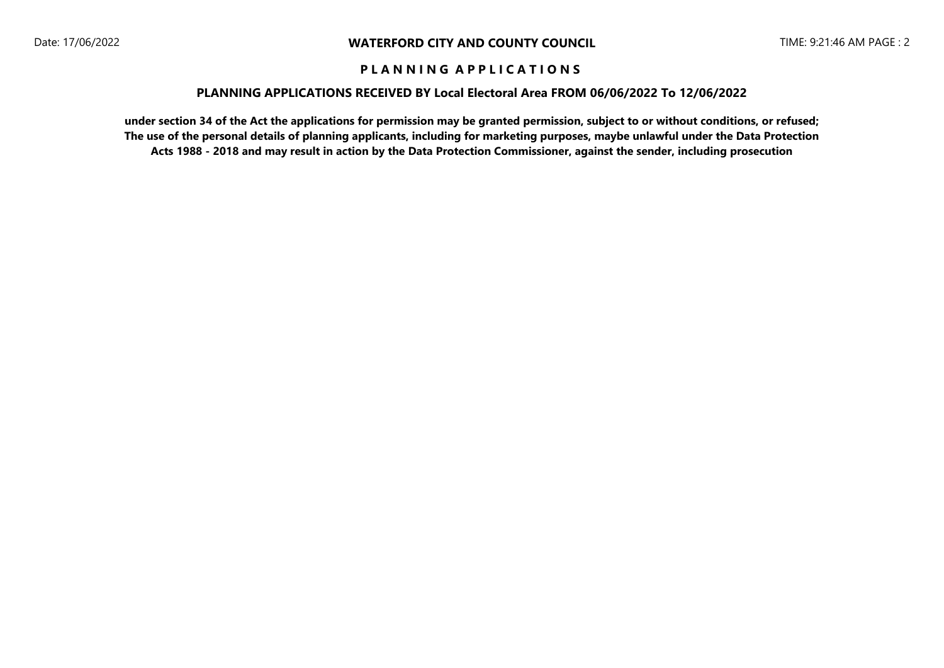### **PLANNING APPLICATIONS RECEIVED BY Local Electoral Area FROM 06/06/2022 To 12/06/2022**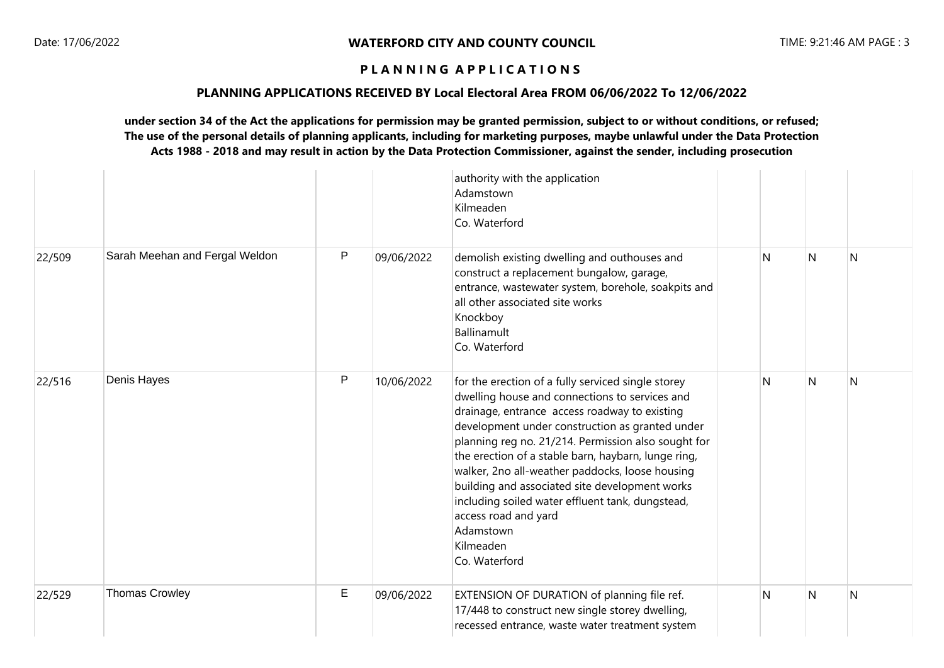### **PLANNING APPLICATIONS RECEIVED BY Local Electoral Area FROM 06/06/2022 To 12/06/2022**

|        |                                |              |            | authority with the application<br>Adamstown<br>Kilmeaden<br>Co. Waterford                                                                                                                                                                                                                                                                                                                                                                                                                                                                          |   |   |                |
|--------|--------------------------------|--------------|------------|----------------------------------------------------------------------------------------------------------------------------------------------------------------------------------------------------------------------------------------------------------------------------------------------------------------------------------------------------------------------------------------------------------------------------------------------------------------------------------------------------------------------------------------------------|---|---|----------------|
| 22/509 | Sarah Meehan and Fergal Weldon | $\mathsf{P}$ | 09/06/2022 | demolish existing dwelling and outhouses and<br>construct a replacement bungalow, garage,<br>entrance, wastewater system, borehole, soakpits and<br>all other associated site works<br>Knockboy<br>Ballinamult<br>Co. Waterford                                                                                                                                                                                                                                                                                                                    | N | N | N              |
| 22/516 | Denis Hayes                    | $\mathsf{P}$ | 10/06/2022 | for the erection of a fully serviced single storey<br>dwelling house and connections to services and<br>drainage, entrance access roadway to existing<br>development under construction as granted under<br>planning reg no. 21/214. Permission also sought for<br>the erection of a stable barn, haybarn, lunge ring,<br>walker, 2no all-weather paddocks, loose housing<br>building and associated site development works<br>including soiled water effluent tank, dungstead,<br>access road and yard<br>Adamstown<br>Kilmeaden<br>Co. Waterford | N | N | N              |
| 22/529 | <b>Thomas Crowley</b>          | E            | 09/06/2022 | EXTENSION OF DURATION of planning file ref.<br>17/448 to construct new single storey dwelling,<br>recessed entrance, waste water treatment system                                                                                                                                                                                                                                                                                                                                                                                                  | N | N | $\overline{N}$ |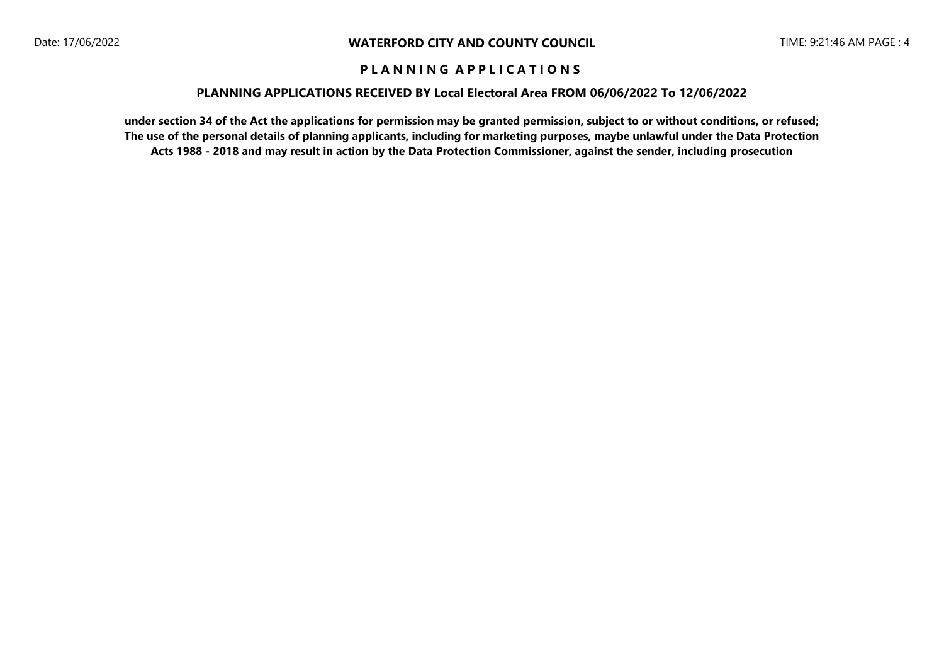### **PLANNING APPLICATIONS RECEIVED BY Local Electoral Area FROM 06/06/2022 To 12/06/2022**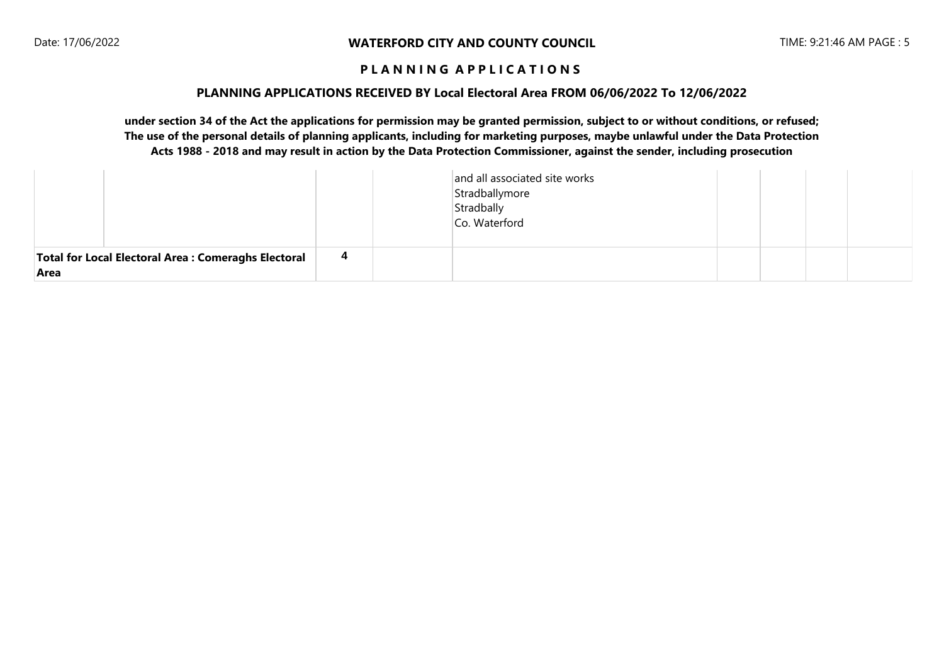#### **PLANNING APPLICATIONS RECEIVED BY Local Electoral Area FROM 06/06/2022 To 12/06/2022**

|                                                              |    | and all associated site works<br>Stradballymore<br>Stradbally<br>Co. Waterford |  |  |
|--------------------------------------------------------------|----|--------------------------------------------------------------------------------|--|--|
| Total for Local Electoral Area : Comeraghs Electoral<br>Area | -4 |                                                                                |  |  |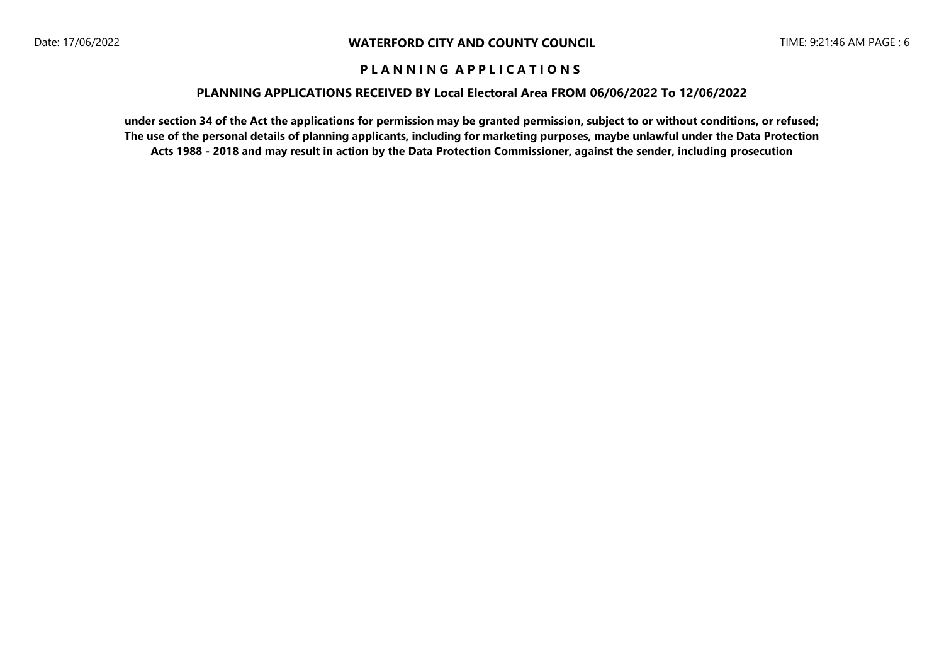### **PLANNING APPLICATIONS RECEIVED BY Local Electoral Area FROM 06/06/2022 To 12/06/2022**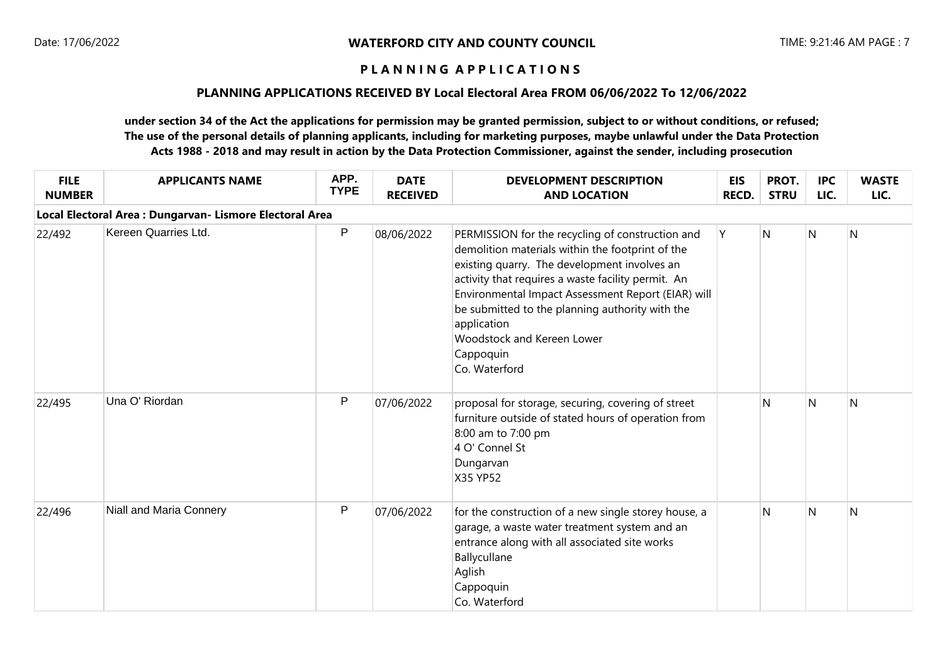## **PLANNING APPLICATIONS RECEIVED BY Local Electoral Area FROM 06/06/2022 To 12/06/2022**

| <b>FILE</b><br><b>NUMBER</b>                             | <b>APPLICANTS NAME</b>  | APP.<br><b>TYPE</b> | <b>DATE</b><br><b>RECEIVED</b> | <b>DEVELOPMENT DESCRIPTION</b><br><b>AND LOCATION</b>                                                                                                                                                                                                                                                                                                                                          | <b>EIS</b><br>RECD. | PROT.<br><b>STRU</b> | <b>IPC</b><br>LIC. | <b>WASTE</b><br>LIC. |  |  |  |  |
|----------------------------------------------------------|-------------------------|---------------------|--------------------------------|------------------------------------------------------------------------------------------------------------------------------------------------------------------------------------------------------------------------------------------------------------------------------------------------------------------------------------------------------------------------------------------------|---------------------|----------------------|--------------------|----------------------|--|--|--|--|
| Local Electoral Area : Dungarvan- Lismore Electoral Area |                         |                     |                                |                                                                                                                                                                                                                                                                                                                                                                                                |                     |                      |                    |                      |  |  |  |  |
| 22/492                                                   | Kereen Quarries Ltd.    | P                   | 08/06/2022                     | PERMISSION for the recycling of construction and<br>demolition materials within the footprint of the<br>existing quarry. The development involves an<br>activity that requires a waste facility permit. An<br>Environmental Impact Assessment Report (EIAR) will<br>be submitted to the planning authority with the<br>application<br>Woodstock and Kereen Lower<br>Cappoquin<br>Co. Waterford | Y                   | N.                   | $\mathsf{N}$       | N                    |  |  |  |  |
| 22/495                                                   | Una O' Riordan          | P                   | 07/06/2022                     | proposal for storage, securing, covering of street<br>furniture outside of stated hours of operation from<br>8:00 am to 7:00 pm<br>4 O' Connel St<br>Dungarvan<br>X35 YP52                                                                                                                                                                                                                     |                     | N                    | $\mathsf{N}$       | N                    |  |  |  |  |
| 22/496                                                   | Niall and Maria Connery | P                   | 07/06/2022                     | for the construction of a new single storey house, a<br>garage, a waste water treatment system and an<br>entrance along with all associated site works<br>Ballycullane<br>Aglish<br>Cappoquin<br>Co. Waterford                                                                                                                                                                                 |                     | N                    | $\mathsf{N}$       | N                    |  |  |  |  |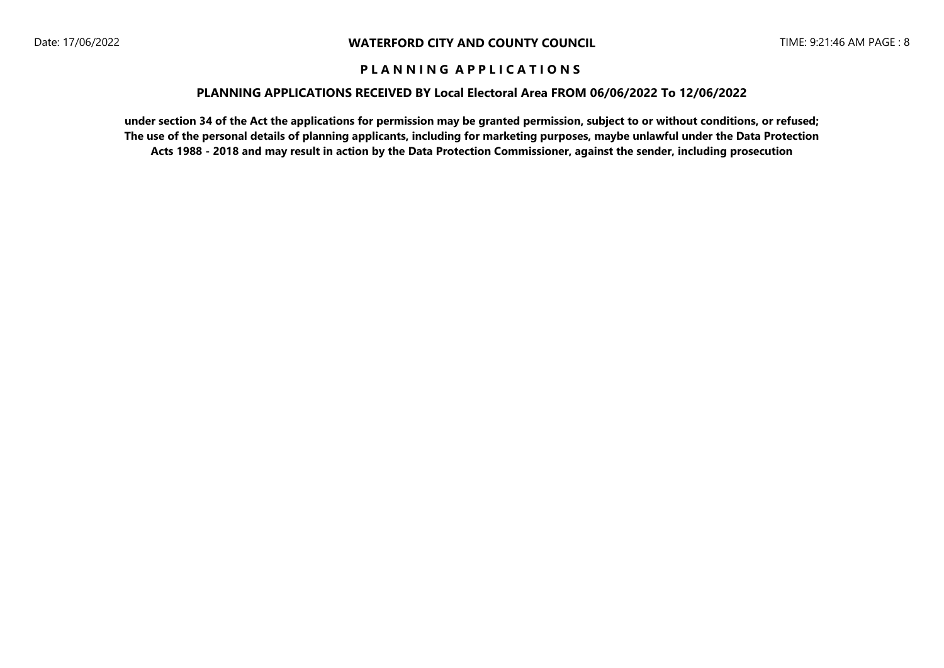### **PLANNING APPLICATIONS RECEIVED BY Local Electoral Area FROM 06/06/2022 To 12/06/2022**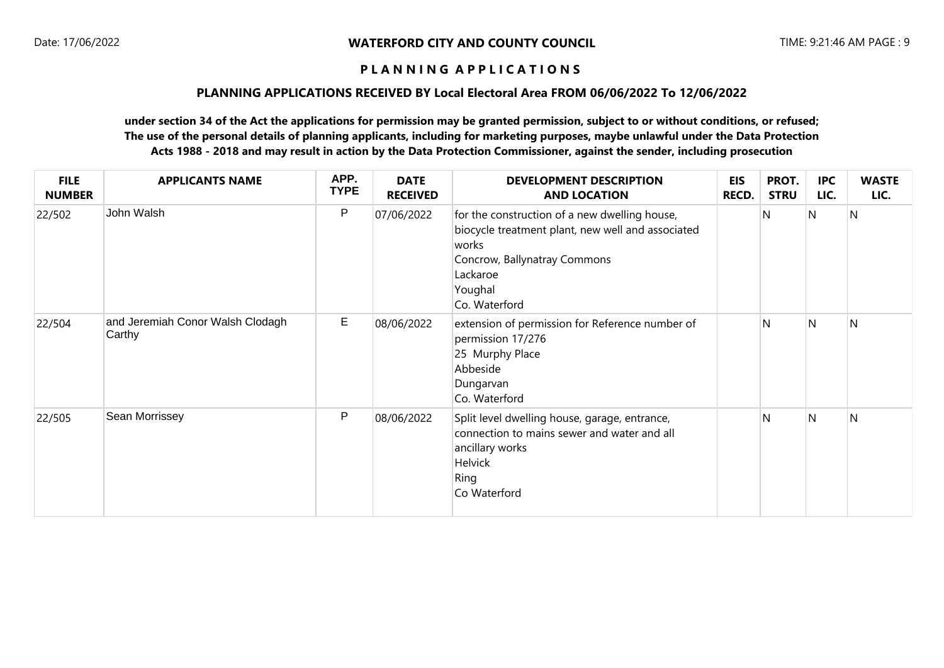## **PLANNING APPLICATIONS RECEIVED BY Local Electoral Area FROM 06/06/2022 To 12/06/2022**

| <b>FILE</b><br><b>NUMBER</b> | <b>APPLICANTS NAME</b>                     | APP.<br><b>TYPE</b> | <b>DATE</b><br><b>RECEIVED</b> | <b>DEVELOPMENT DESCRIPTION</b><br><b>AND LOCATION</b>                                                                                                                               | <b>EIS</b><br>RECD. | PROT.<br><b>STRU</b> | <b>IPC</b><br>LIC. | <b>WASTE</b><br>LIC. |
|------------------------------|--------------------------------------------|---------------------|--------------------------------|-------------------------------------------------------------------------------------------------------------------------------------------------------------------------------------|---------------------|----------------------|--------------------|----------------------|
| 22/502                       | John Walsh                                 | P                   | 07/06/2022                     | for the construction of a new dwelling house,<br>biocycle treatment plant, new well and associated<br>works<br>Concrow, Ballynatray Commons<br>Lackaroe<br>Youghal<br>Co. Waterford |                     | N                    | N                  | N                    |
| 22/504                       | and Jeremiah Conor Walsh Clodagh<br>Carthy | $\mathsf E$         | 08/06/2022                     | extension of permission for Reference number of<br>permission 17/276<br>25 Murphy Place<br>Abbeside<br>Dungarvan<br>Co. Waterford                                                   |                     | $\mathsf{N}$         | N                  | $\mathsf{N}$         |
| 22/505                       | Sean Morrissey                             | P                   | 08/06/2022                     | Split level dwelling house, garage, entrance,<br>connection to mains sewer and water and all<br>ancillary works<br>Helvick<br>Ring<br>Co Waterford                                  |                     | N                    | N                  | N                    |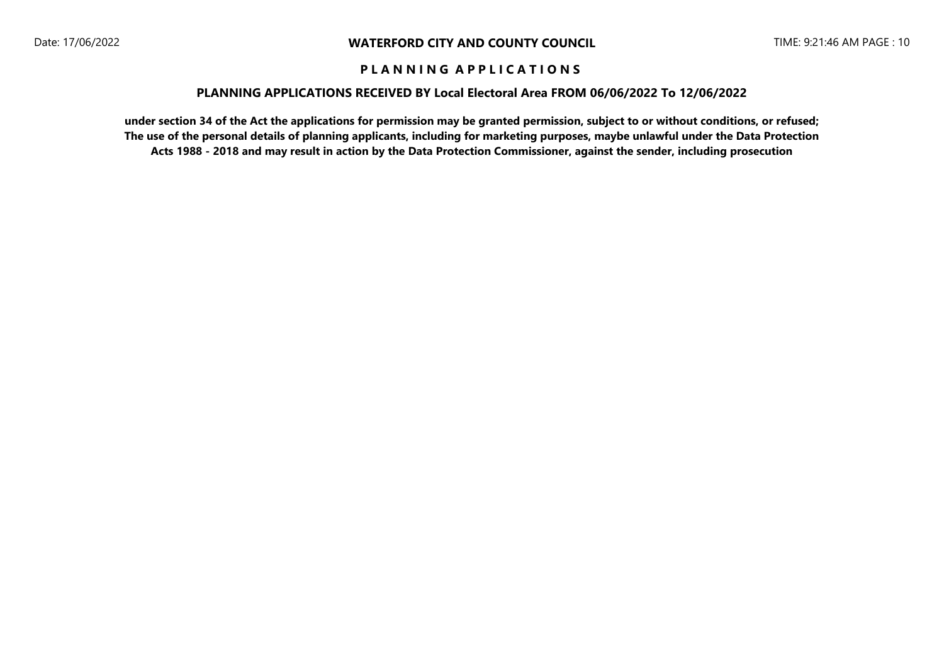### **PLANNING APPLICATIONS RECEIVED BY Local Electoral Area FROM 06/06/2022 To 12/06/2022**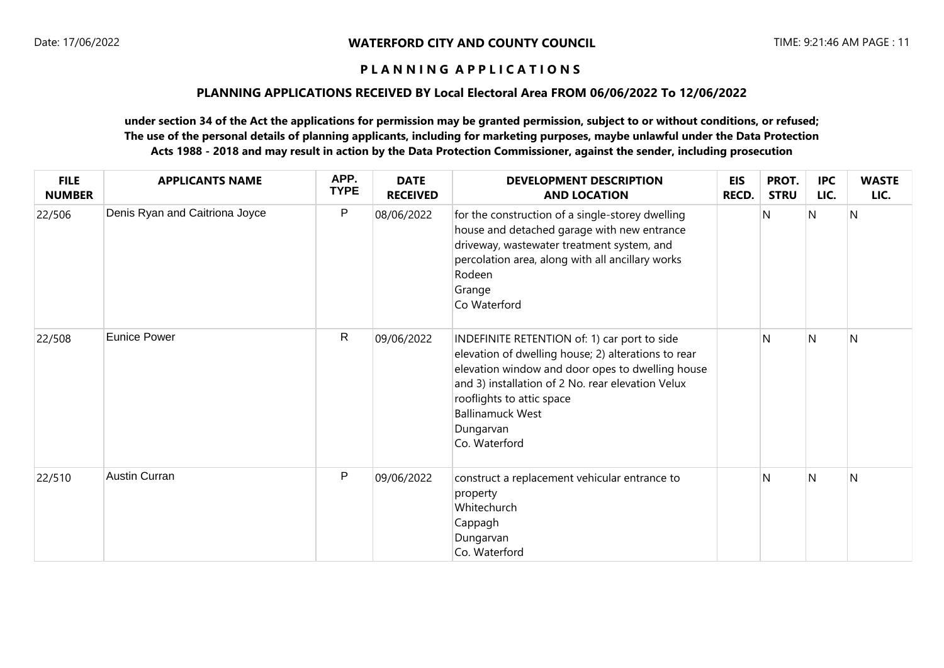### **PLANNING APPLICATIONS RECEIVED BY Local Electoral Area FROM 06/06/2022 To 12/06/2022**

| <b>FILE</b><br><b>NUMBER</b> | <b>APPLICANTS NAME</b>         | APP.<br><b>TYPE</b> | <b>DATE</b><br><b>RECEIVED</b> | <b>DEVELOPMENT DESCRIPTION</b><br><b>AND LOCATION</b>                                                                                                                                                                                                                                              | <b>EIS</b><br><b>RECD.</b> | PROT.<br><b>STRU</b> | <b>IPC</b><br>LIC. | <b>WASTE</b><br>LIC. |
|------------------------------|--------------------------------|---------------------|--------------------------------|----------------------------------------------------------------------------------------------------------------------------------------------------------------------------------------------------------------------------------------------------------------------------------------------------|----------------------------|----------------------|--------------------|----------------------|
| 22/506                       | Denis Ryan and Caitriona Joyce | ${\sf P}$           | 08/06/2022                     | for the construction of a single-storey dwelling<br>house and detached garage with new entrance<br>driveway, wastewater treatment system, and<br>percolation area, along with all ancillary works<br>Rodeen<br>Grange<br>Co Waterford                                                              |                            | N                    | N                  | N                    |
| 22/508                       | <b>Eunice Power</b>            | $\mathsf R$         | 09/06/2022                     | INDEFINITE RETENTION of: 1) car port to side<br>elevation of dwelling house; 2) alterations to rear<br>elevation window and door opes to dwelling house<br>and 3) installation of 2 No. rear elevation Velux<br>rooflights to attic space<br><b>Ballinamuck West</b><br>Dungarvan<br>Co. Waterford |                            | N                    | N                  | N                    |
| 22/510                       | <b>Austin Curran</b>           | ${\sf P}$           | 09/06/2022                     | construct a replacement vehicular entrance to<br>property<br>Whitechurch<br>Cappagh<br>Dungarvan<br>Co. Waterford                                                                                                                                                                                  |                            | N                    | N                  | N                    |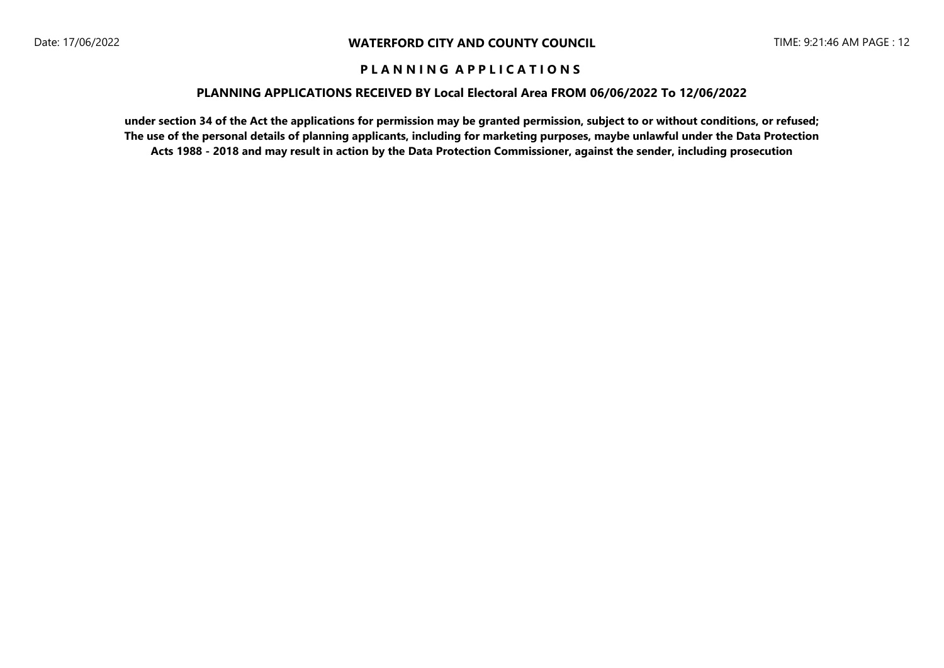### **PLANNING APPLICATIONS RECEIVED BY Local Electoral Area FROM 06/06/2022 To 12/06/2022**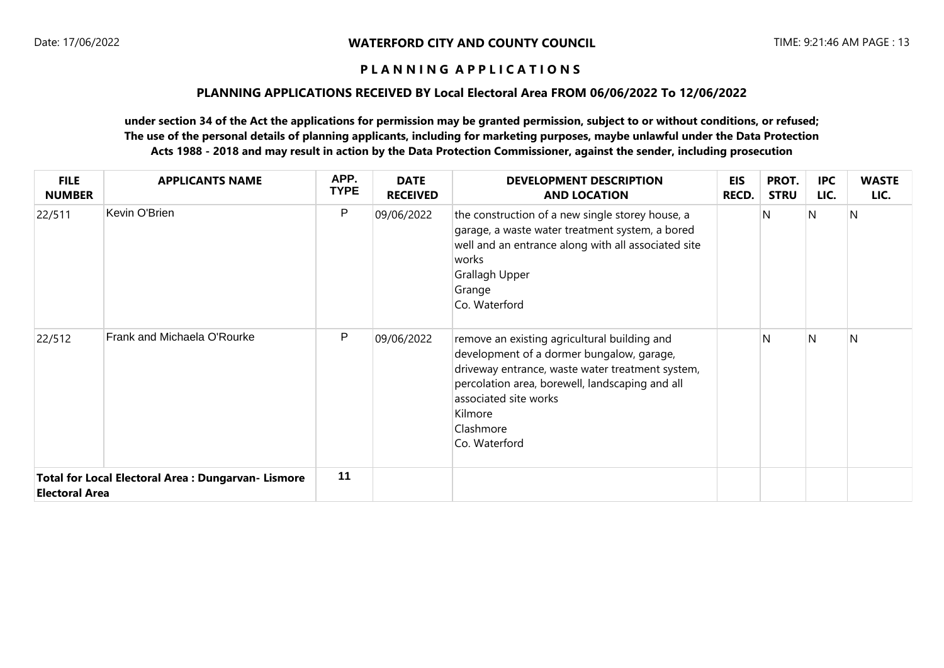### **PLANNING APPLICATIONS RECEIVED BY Local Electoral Area FROM 06/06/2022 To 12/06/2022**

| <b>FILE</b><br><b>NUMBER</b> | <b>APPLICANTS NAME</b>                                     | APP.<br><b>TYPE</b> | <b>DATE</b><br><b>RECEIVED</b> | <b>DEVELOPMENT DESCRIPTION</b><br><b>AND LOCATION</b>                                                                                                                                                                                                              | EIS<br><b>RECD.</b> | PROT.<br><b>STRU</b> | <b>IPC</b><br>LIC. | <b>WASTE</b><br>LIC. |
|------------------------------|------------------------------------------------------------|---------------------|--------------------------------|--------------------------------------------------------------------------------------------------------------------------------------------------------------------------------------------------------------------------------------------------------------------|---------------------|----------------------|--------------------|----------------------|
| 22/511                       | Kevin O'Brien                                              | P                   | 09/06/2022                     | the construction of a new single storey house, a<br>garage, a waste water treatment system, a bored<br>well and an entrance along with all associated site<br>works<br>Grallagh Upper<br>Grange<br>Co. Waterford                                                   |                     | N                    | N                  | N                    |
| 22/512                       | Frank and Michaela O'Rourke                                | P                   | 09/06/2022                     | remove an existing agricultural building and<br>development of a dormer bungalow, garage,<br>driveway entrance, waste water treatment system,<br>percolation area, borewell, landscaping and all<br>associated site works<br>Kilmore<br>Clashmore<br>Co. Waterford |                     | N                    | N.                 | N                    |
| <b>Electoral Area</b>        | <b>Total for Local Electoral Area : Dungarvan- Lismore</b> | 11                  |                                |                                                                                                                                                                                                                                                                    |                     |                      |                    |                      |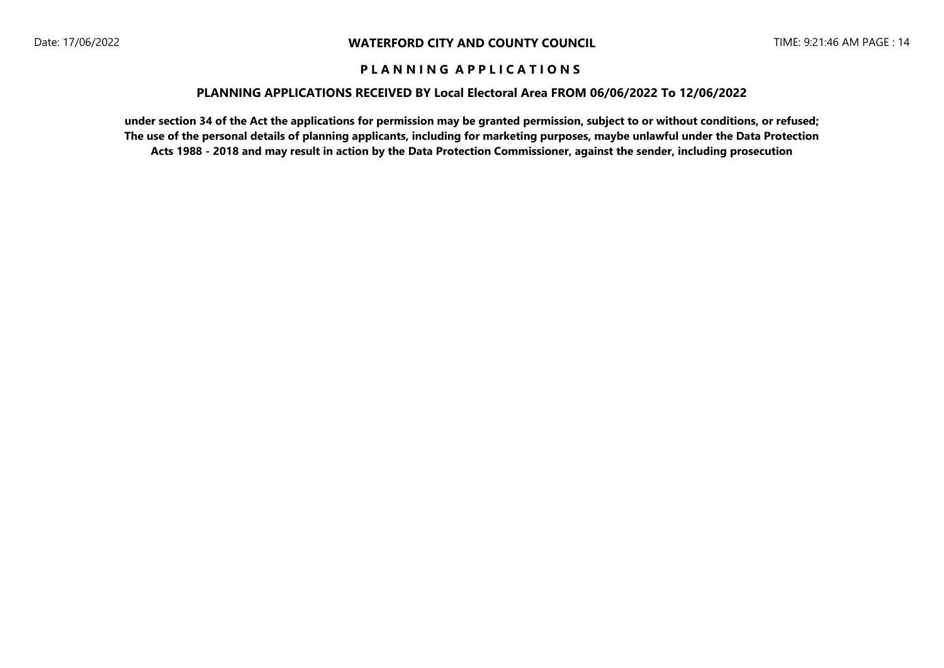### **PLANNING APPLICATIONS RECEIVED BY Local Electoral Area FROM 06/06/2022 To 12/06/2022**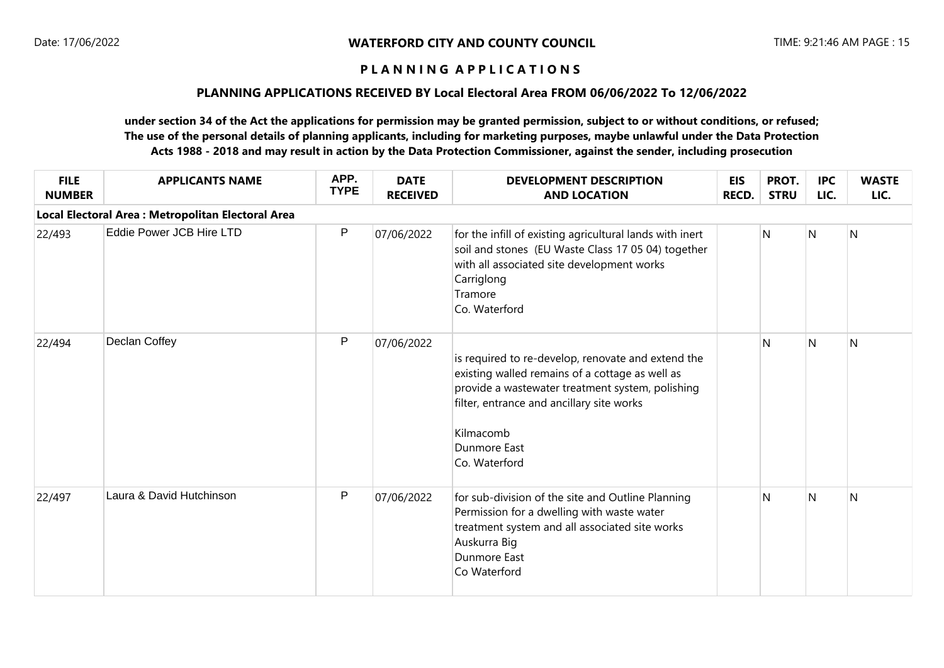## **PLANNING APPLICATIONS RECEIVED BY Local Electoral Area FROM 06/06/2022 To 12/06/2022**

| <b>FILE</b><br><b>NUMBER</b> | <b>APPLICANTS NAME</b>                             | APP.<br><b>TYPE</b> | <b>DATE</b><br><b>RECEIVED</b> | <b>DEVELOPMENT DESCRIPTION</b><br><b>AND LOCATION</b>                                                                                                                                                                                                | <b>EIS</b><br><b>RECD.</b> | PROT.<br><b>STRU</b> | <b>IPC</b><br>LIC. | <b>WASTE</b><br>LIC. |
|------------------------------|----------------------------------------------------|---------------------|--------------------------------|------------------------------------------------------------------------------------------------------------------------------------------------------------------------------------------------------------------------------------------------------|----------------------------|----------------------|--------------------|----------------------|
|                              | Local Electoral Area : Metropolitan Electoral Area |                     |                                |                                                                                                                                                                                                                                                      |                            |                      |                    |                      |
| 22/493                       | Eddie Power JCB Hire LTD                           | ${\sf P}$           | 07/06/2022                     | for the infill of existing agricultural lands with inert<br>soil and stones (EU Waste Class 17 05 04) together<br>with all associated site development works<br>Carriglong<br>Tramore<br>Co. Waterford                                               |                            | N                    | N                  | $\overline{N}$       |
| 22/494                       | Declan Coffey                                      | $\mathsf{P}$        | 07/06/2022                     | is required to re-develop, renovate and extend the<br>existing walled remains of a cottage as well as<br>provide a wastewater treatment system, polishing<br>filter, entrance and ancillary site works<br>Kilmacomb<br>Dunmore East<br>Co. Waterford |                            | N                    | N                  | N                    |
| 22/497                       | Laura & David Hutchinson                           | ${\sf P}$           | 07/06/2022                     | for sub-division of the site and Outline Planning<br>Permission for a dwelling with waste water<br>treatment system and all associated site works<br>Auskurra Big<br>Dunmore East<br>Co Waterford                                                    |                            | N                    | N                  | N                    |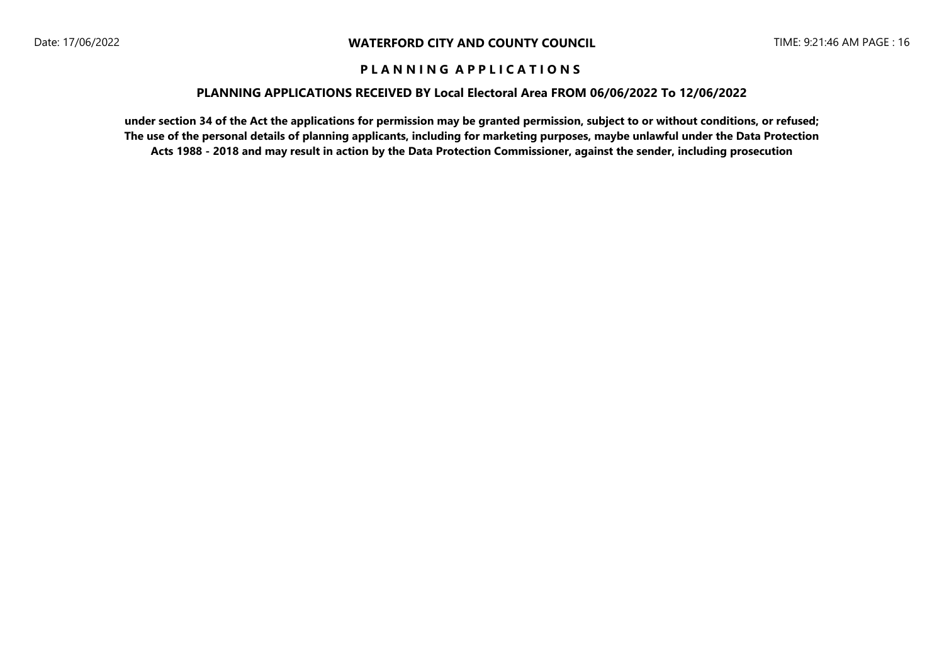### **PLANNING APPLICATIONS RECEIVED BY Local Electoral Area FROM 06/06/2022 To 12/06/2022**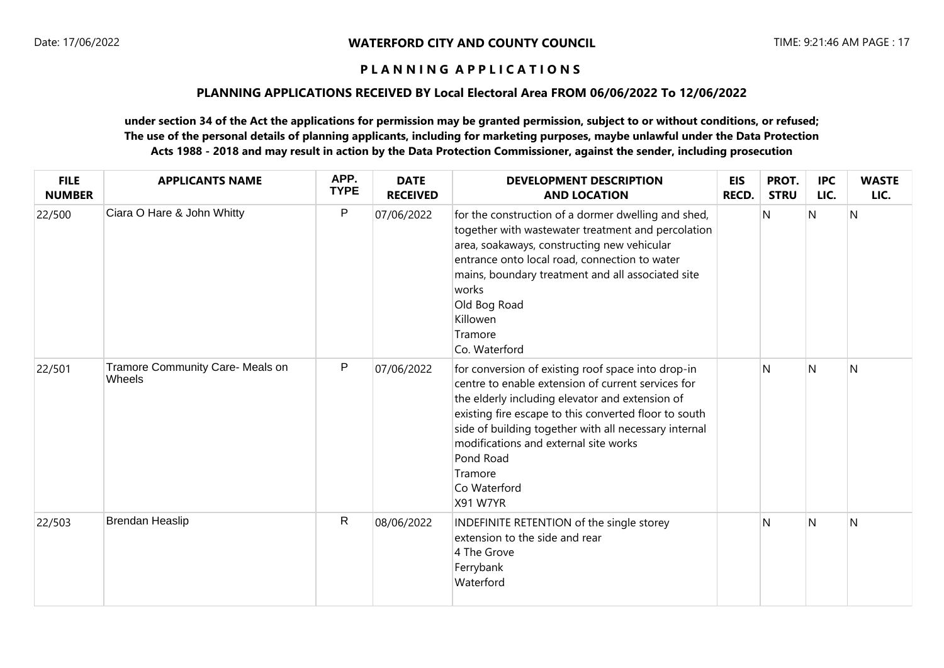## **PLANNING APPLICATIONS RECEIVED BY Local Electoral Area FROM 06/06/2022 To 12/06/2022**

| <b>FILE</b><br><b>NUMBER</b> | <b>APPLICANTS NAME</b>                     | APP.<br><b>TYPE</b> | <b>DATE</b><br><b>RECEIVED</b> | <b>DEVELOPMENT DESCRIPTION</b><br><b>AND LOCATION</b>                                                                                                                                                                                                                                                                                                                      | <b>EIS</b><br>RECD. | PROT.<br><b>STRU</b> | <b>IPC</b><br>LIC. | <b>WASTE</b><br>LIC. |
|------------------------------|--------------------------------------------|---------------------|--------------------------------|----------------------------------------------------------------------------------------------------------------------------------------------------------------------------------------------------------------------------------------------------------------------------------------------------------------------------------------------------------------------------|---------------------|----------------------|--------------------|----------------------|
| 22/500                       | Ciara O Hare & John Whitty                 | $\mathsf{P}$        | 07/06/2022                     | for the construction of a dormer dwelling and shed,<br>together with wastewater treatment and percolation<br>area, soakaways, constructing new vehicular<br>entrance onto local road, connection to water<br>mains, boundary treatment and all associated site<br>works<br>Old Bog Road<br>Killowen<br>Tramore<br>Co. Waterford                                            |                     | N                    | N                  | N                    |
| 22/501                       | Tramore Community Care- Meals on<br>Wheels | $\mathsf{P}$        | 07/06/2022                     | for conversion of existing roof space into drop-in<br>centre to enable extension of current services for<br>the elderly including elevator and extension of<br>existing fire escape to this converted floor to south<br>side of building together with all necessary internal<br>modifications and external site works<br>Pond Road<br>Tramore<br>Co Waterford<br>X91 W7YR |                     | N                    | N                  | N                    |
| 22/503                       | Brendan Heaslip                            | $\mathsf{R}$        | 08/06/2022                     | INDEFINITE RETENTION of the single storey<br>extension to the side and rear<br>4 The Grove<br>Ferrybank<br>Waterford                                                                                                                                                                                                                                                       |                     | $\mathsf{N}$         | N                  | N                    |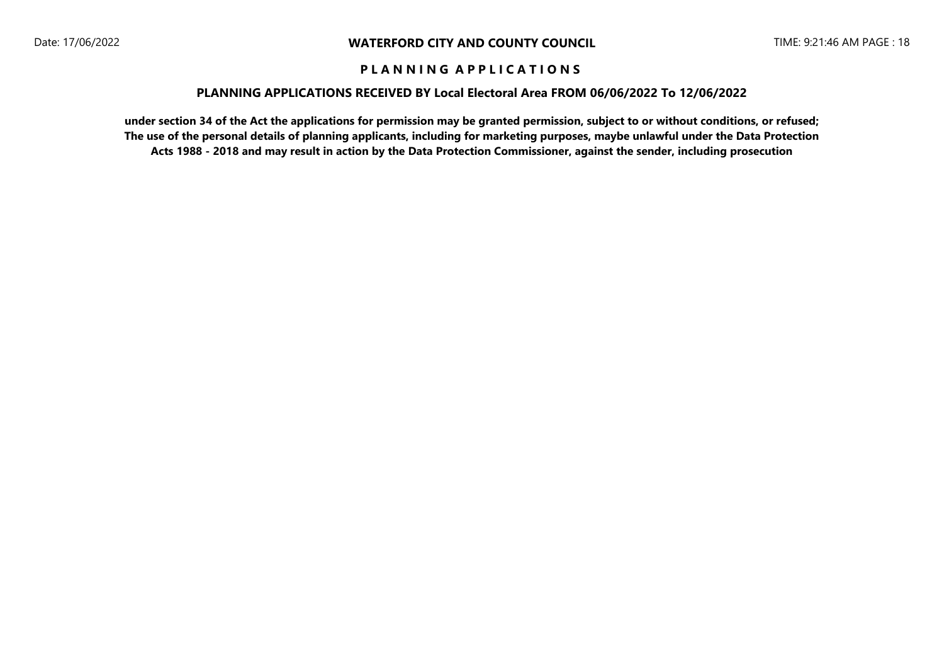### **PLANNING APPLICATIONS RECEIVED BY Local Electoral Area FROM 06/06/2022 To 12/06/2022**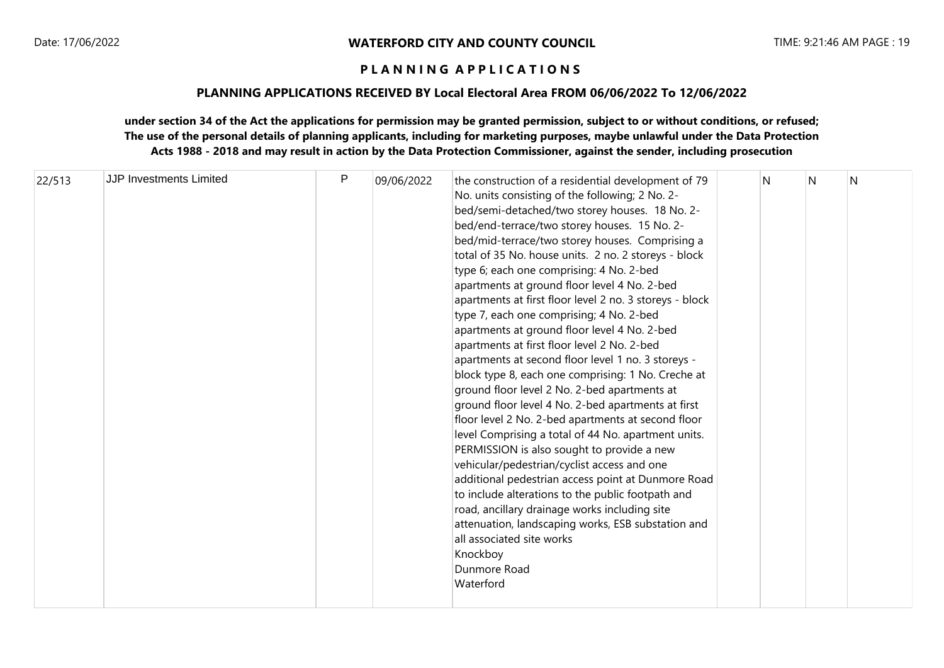### **PLANNING APPLICATIONS RECEIVED BY Local Electoral Area FROM 06/06/2022 To 12/06/2022**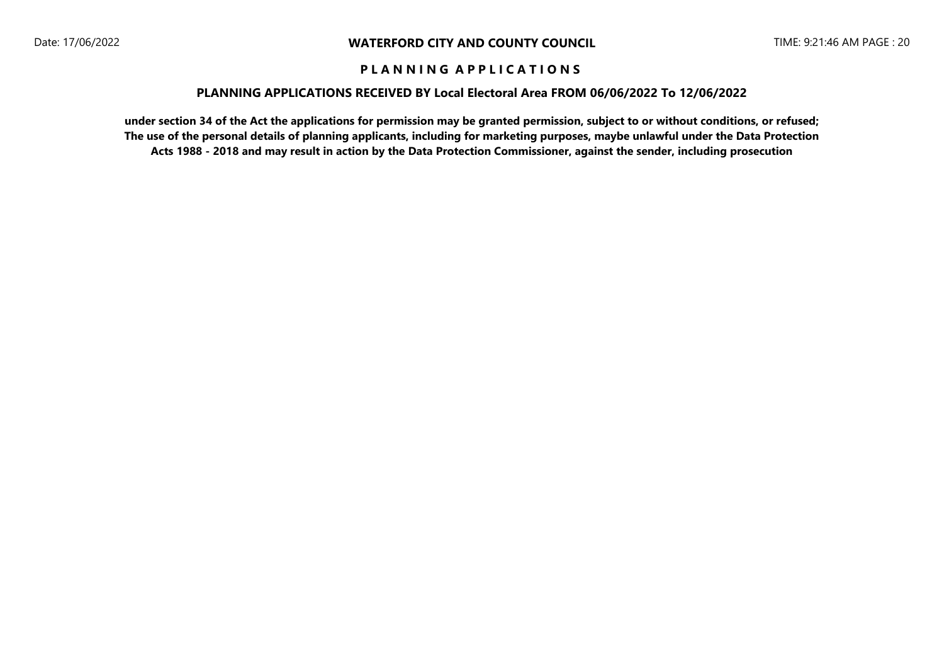### **PLANNING APPLICATIONS RECEIVED BY Local Electoral Area FROM 06/06/2022 To 12/06/2022**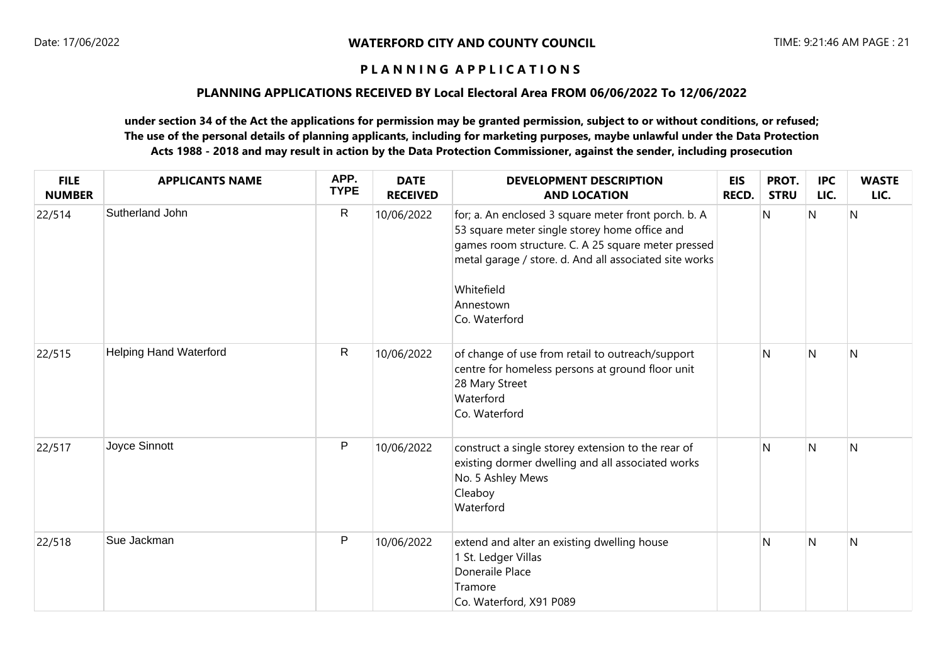## **PLANNING APPLICATIONS RECEIVED BY Local Electoral Area FROM 06/06/2022 To 12/06/2022**

| <b>FILE</b><br><b>NUMBER</b> | <b>APPLICANTS NAME</b>        | APP.<br><b>TYPE</b> | <b>DATE</b><br><b>RECEIVED</b> | <b>DEVELOPMENT DESCRIPTION</b><br><b>AND LOCATION</b>                                                                                                                                                                                                             | <b>EIS</b><br><b>RECD.</b> | PROT.<br><b>STRU</b> | <b>IPC</b><br>LIC. | <b>WASTE</b><br>LIC. |
|------------------------------|-------------------------------|---------------------|--------------------------------|-------------------------------------------------------------------------------------------------------------------------------------------------------------------------------------------------------------------------------------------------------------------|----------------------------|----------------------|--------------------|----------------------|
| 22/514                       | Sutherland John               | $\mathsf R$         | 10/06/2022                     | for; a. An enclosed 3 square meter front porch. b. A<br>53 square meter single storey home office and<br>games room structure. C. A 25 square meter pressed<br>metal garage / store. d. And all associated site works<br>Whitefield<br>Annestown<br>Co. Waterford |                            | N                    | N                  | N                    |
| 22/515                       | <b>Helping Hand Waterford</b> | R                   | 10/06/2022                     | of change of use from retail to outreach/support<br>centre for homeless persons at ground floor unit<br>28 Mary Street<br>Waterford<br>Co. Waterford                                                                                                              |                            | N                    | $\mathsf{N}$       | N                    |
| 22/517                       | Joyce Sinnott                 | $\mathsf{P}$        | 10/06/2022                     | construct a single storey extension to the rear of<br>existing dormer dwelling and all associated works<br>No. 5 Ashley Mews<br>Cleaboy<br>Waterford                                                                                                              |                            | N                    | N                  | N                    |
| 22/518                       | Sue Jackman                   | $\mathsf{P}$        | 10/06/2022                     | extend and alter an existing dwelling house<br>1 St. Ledger Villas<br>Doneraile Place<br>Tramore<br>Co. Waterford, X91 P089                                                                                                                                       |                            | N                    | N                  | N                    |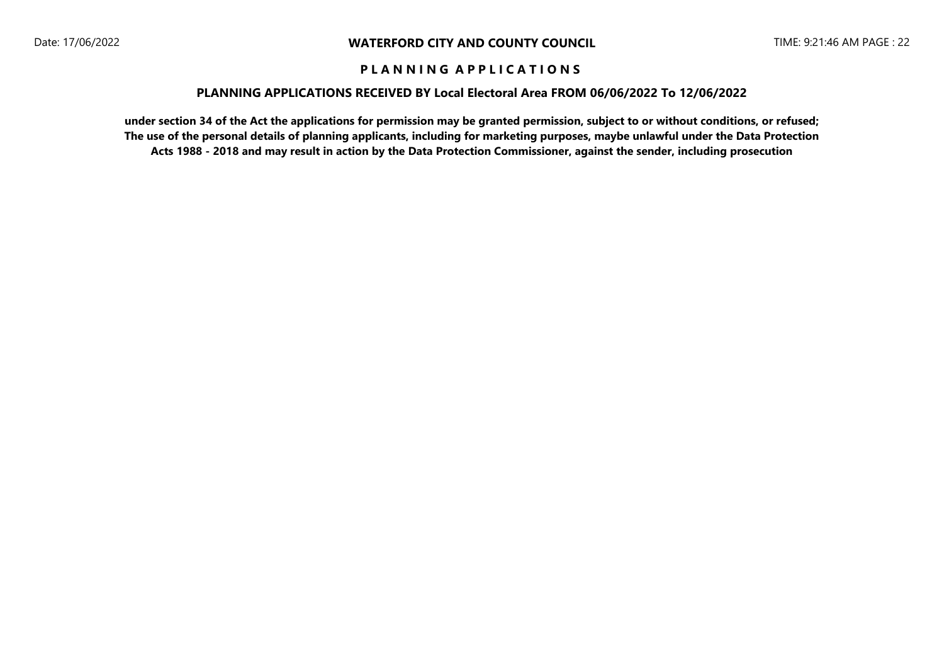### **PLANNING APPLICATIONS RECEIVED BY Local Electoral Area FROM 06/06/2022 To 12/06/2022**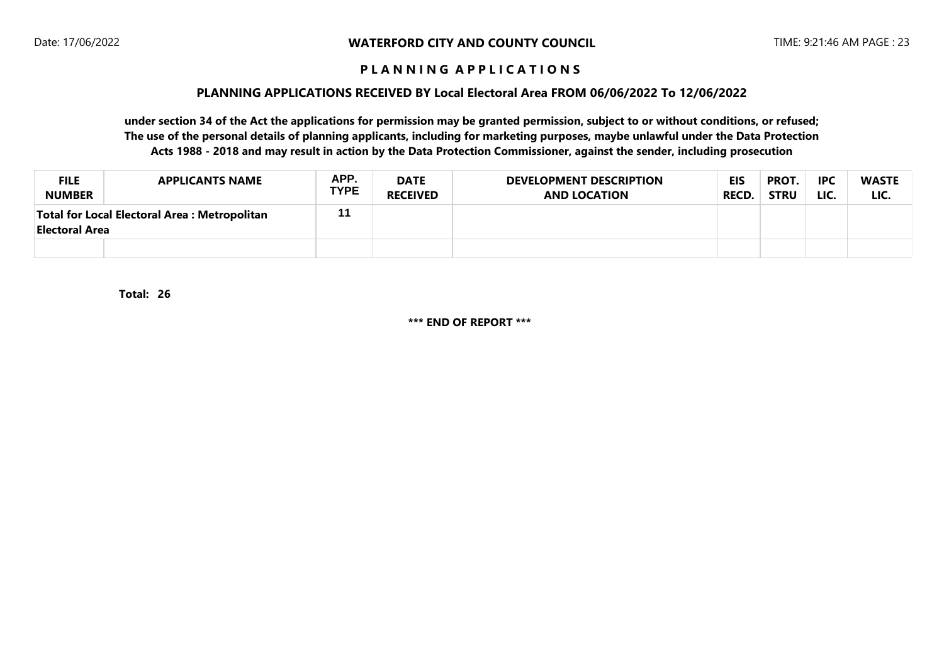### **PLANNING APPLICATIONS RECEIVED BY Local Electoral Area FROM 06/06/2022 To 12/06/2022**

**under section 34 of the Act the applications for permission may be granted permission, subject to or without conditions, or refused; The use of the personal details of planning applicants, including for marketing purposes, maybe unlawful under the Data Protection Acts 1988 - 2018 and may result in action by the Data Protection Commissioner, against the sender, including prosecution**

| <b>FILE</b><br><b>NUMBER</b>                                          | <b>APPLICANTS NAME</b> | APP.<br><b>TYPE</b> | <b>DATE</b><br><b>RECEIVED</b> | <b>DEVELOPMENT DESCRIPTION</b><br><b>AND LOCATION</b> | <b>EIS</b><br><b>RECD.</b> | PROT.<br><b>STRU</b> | <b>IPC</b><br>LIC. | <b>WASTE</b><br>LIC. |
|-----------------------------------------------------------------------|------------------------|---------------------|--------------------------------|-------------------------------------------------------|----------------------------|----------------------|--------------------|----------------------|
| Total for Local Electoral Area: Metropolitan<br><b>Electoral Area</b> |                        | 11                  |                                |                                                       |                            |                      |                    |                      |
|                                                                       |                        |                     |                                |                                                       |                            |                      |                    |                      |

**26 Total:** 

**\*\*\* END OF REPORT \*\*\***